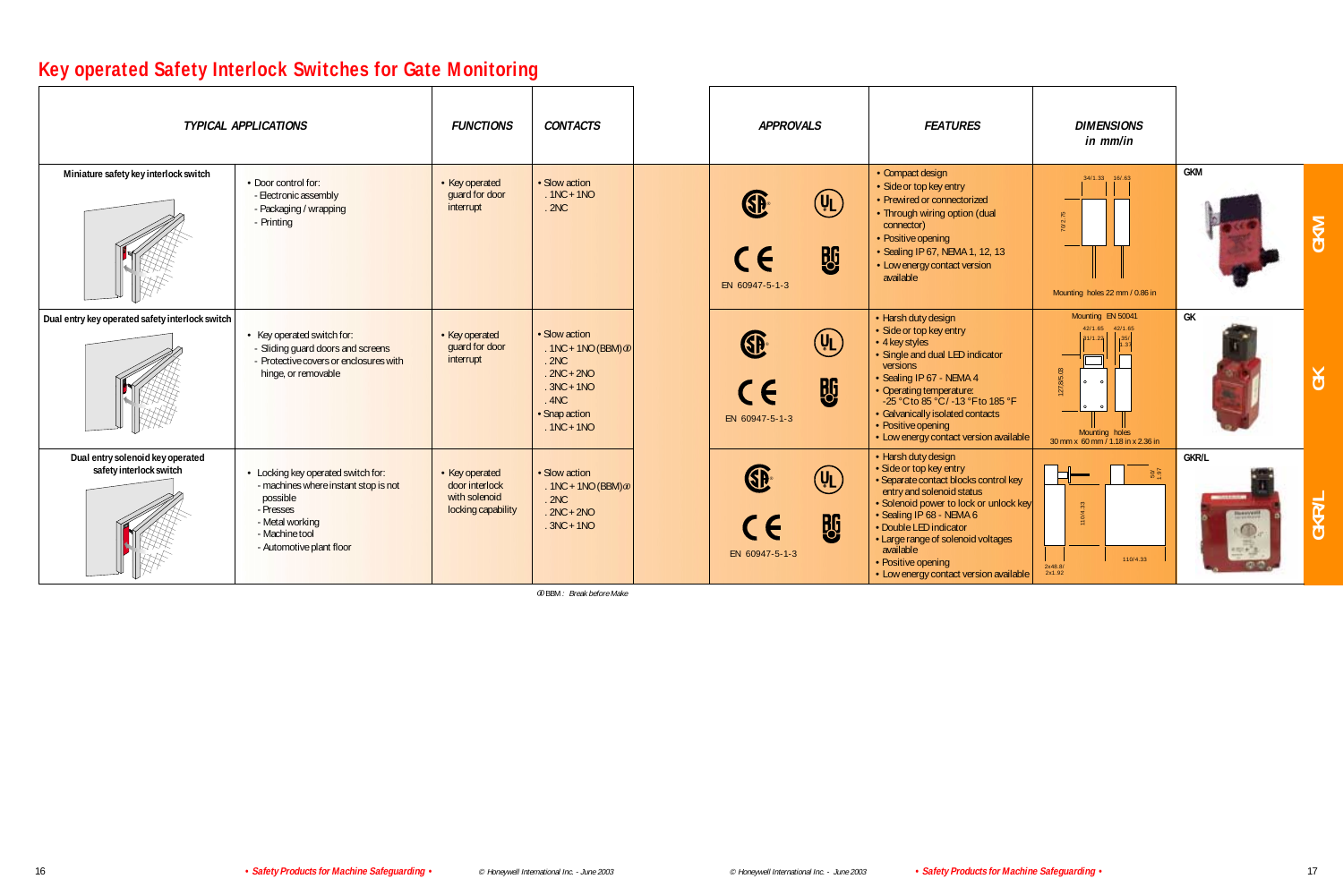## **Key operated Safety Interlock Switches for Gate Monitoring**

| <b>TYPICAL APPLICATIONS</b>                                 |                                                                                                                                                                      | <b>FUNCTIONS</b>                                                        | <b>CONTACTS</b>                                                                                                              | <b>APPROVALS</b>                           |                                                     | <b>FEATURES</b>                                                                                                                                                                                                                                                                                                                         | <b>DIMENSIONS</b><br>in mm/in                                                                                                           |                                                           |     |
|-------------------------------------------------------------|----------------------------------------------------------------------------------------------------------------------------------------------------------------------|-------------------------------------------------------------------------|------------------------------------------------------------------------------------------------------------------------------|--------------------------------------------|-----------------------------------------------------|-----------------------------------------------------------------------------------------------------------------------------------------------------------------------------------------------------------------------------------------------------------------------------------------------------------------------------------------|-----------------------------------------------------------------------------------------------------------------------------------------|-----------------------------------------------------------|-----|
| Miniature safety key interlock switch                       | • Door control for:<br>- Electronic assembly<br>- Packaging / wrapping<br>- Printing                                                                                 | • Key operated<br>guard for door<br>interrupt                           | · Slow action<br>$.1NC + 1NO$<br>.2NC                                                                                        | <b>SB</b><br>CE<br>EN 60947-5-1-3          | $\left(\mathtt{U}_\mathsf{L}\right)$<br><b>BG</b>   | • Compact design<br>· Side or top key entry<br>• Prewired or connectorized<br>• Through wiring option (dual<br>connector)<br>• Positive opening<br>• Sealing IP 67, NEMA 1, 12, 13<br>• Low energy contact version<br>available                                                                                                         | 34/1.33 16/.63<br>$0/2$ .<br>Mounting holes 22 mm / 0.86 in                                                                             | GKM                                                       |     |
| Dual entry key operated safety interlock switch             | • Key operated switch for:<br>- Sliding guard doors and screens<br>- Protective covers or enclosures with<br>hinge, or removable                                     | • Key operated<br>guard for door<br>interrupt                           | · Slow action<br>. 1NC + 1NO (BBM) $\omega$<br>.2NC<br>$.2NC + 2NO$<br>$.3NC + 1NO$<br>.4NC<br>· Snap action<br>$.1NC + 1NO$ | GP.<br>CE<br>EN 60947-5-1-3                | $\left(\mathsf{U}_{\mathsf{L}}\right)$<br><b>BG</b> | • Harsh duty design<br>· Side or top key entry<br>• 4 key styles<br>· Single and dual LED indicator<br>versions<br>· Sealing IP 67 - NEMA 4<br>• Operating temperature:<br>-25 °C to 85 °C / -13 °F to 185 °F<br>· Galvanically isolated contacts<br>• Positive opening<br>• Low energy contact version available                       | Mounting EN 50041<br>42/1.65 42/1.65<br>31/1.22<br> 35/<br>127,8/5.03<br>$\circ$<br>Mounting holes<br>30 mm x 60 mm / 1.18 in x 2.36 in | GK                                                        | č   |
| Dual entry solenoid key operated<br>safety interlock switch | • Locking key operated switch for:<br>- machines where instant stop is not<br>possible<br>- Presses<br>- Metal working<br>- Machine tool<br>- Automotive plant floor | • Key operated<br>door interlock<br>with solenoid<br>locking capability | · Slow action<br>. 1NC + 1NO (BBM) $\omega$<br>.2NC<br>$.2NC + 2NO$<br>$.3NC + 1NO$                                          | <b>SB</b><br>$\epsilon$<br>EN 60947-5-1-3  | $(\mathsf{U}_{\mathsf{L}})$<br><b>BG</b>            | • Harsh duty design<br>· Side or top key entry<br>· Separate contact blocks control key<br>entry and solenoid status<br>• Solenoid power to lock or unlock key<br>· Sealing IP 68 - NEMA 6<br>• Double LED indicator<br>• Large range of solenoid voltages<br>available<br>• Positive opening<br>• Low energy contact version available | $\frac{50}{1.97}$<br>110/4.33<br>110/4.33<br>2x48.8/<br>2x1.92                                                                          | <b>GKR/L</b><br><b>Bannyeri</b><br>$\circ$<br>$(100 + 1)$ | GKR |
|                                                             |                                                                                                                                                                      |                                                                         | <b>OBBM:</b> Break before Make                                                                                               |                                            |                                                     |                                                                                                                                                                                                                                                                                                                                         |                                                                                                                                         |                                                           |     |
| 16                                                          | • Safety Products for Machine Safeguarding •                                                                                                                         |                                                                         | © Honeywell International Inc. - June 2003                                                                                   | © Honeywell International Inc. - June 2003 |                                                     | • Safety Products for Machine Safeguarding •                                                                                                                                                                                                                                                                                            |                                                                                                                                         |                                                           | 17  |

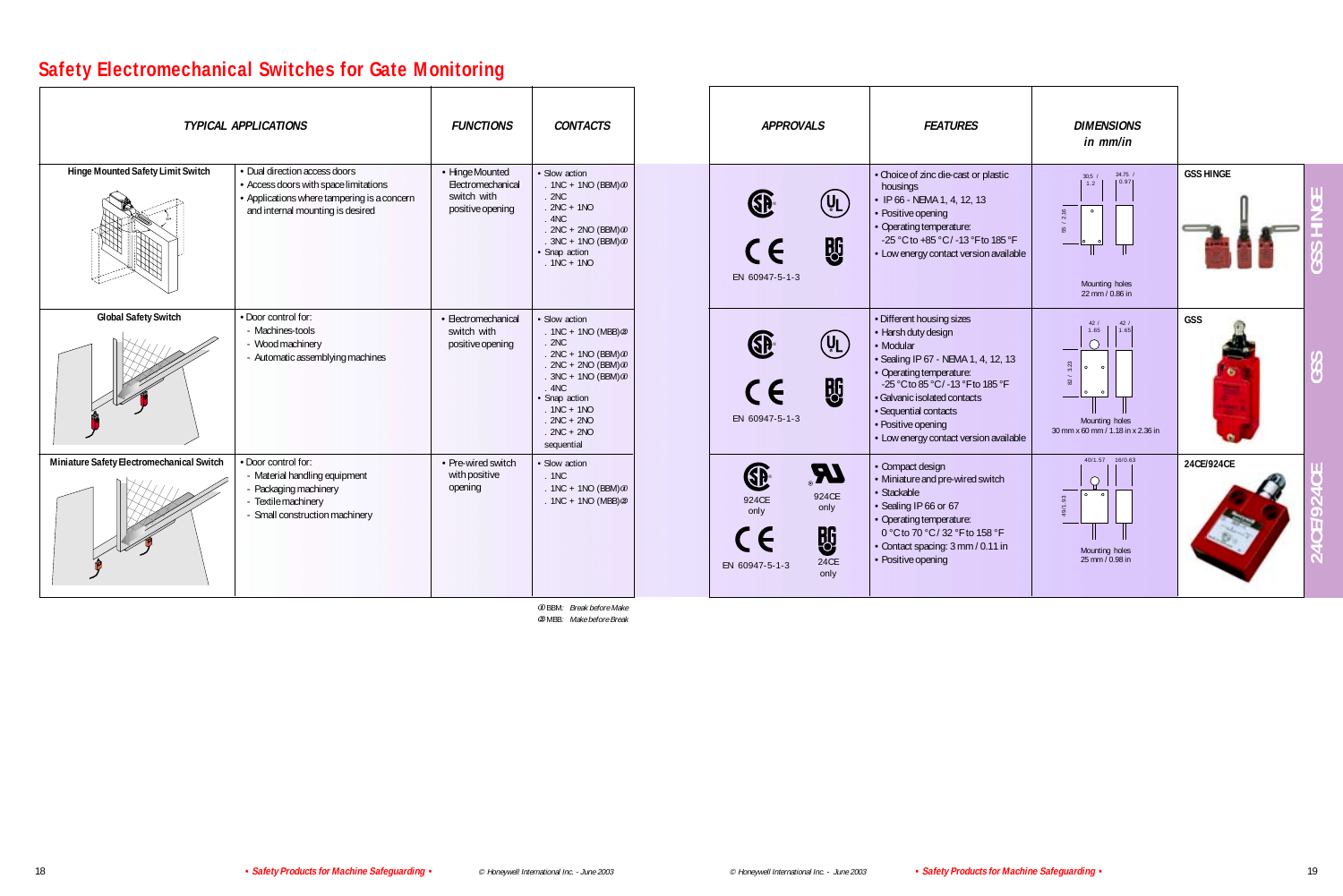## **Safety Electromechanical Switches for Gate Monitoring**

| <b>TYPICAL APPLICATIONS</b>               |                                                                                                                                                           | <b>FUNCTIONS</b>                                                        | <b>CONTACTS</b>                                                                                                                                                                                                                    | <b>APPROVALS</b>                                                                                        | <b>FEATURES</b>                                                                                                                                                                                                                                                                                 | <b>DIMENSIONS</b><br>in mm/in                                                                                                                |
|-------------------------------------------|-----------------------------------------------------------------------------------------------------------------------------------------------------------|-------------------------------------------------------------------------|------------------------------------------------------------------------------------------------------------------------------------------------------------------------------------------------------------------------------------|---------------------------------------------------------------------------------------------------------|-------------------------------------------------------------------------------------------------------------------------------------------------------------------------------------------------------------------------------------------------------------------------------------------------|----------------------------------------------------------------------------------------------------------------------------------------------|
| Hinge Mounted Safety Limit Switch         | • Dual direction access doors<br>• Access doors with space limitations<br>• Applications where tampering is a concern<br>and internal mounting is desired | • Hinge Mounted<br>Electromechanical<br>switch with<br>positive opening | · Slow action<br>$.1NC + 1NO (BBM)$<br>.2NC<br>$.2NC + 1NO$<br>.4NC<br>$.2NC + 2NO (BBM) \odot$<br>$.3NC + 1NO (BBM)$<br>· Snap action<br>$.1NC + 1NO$                                                                             | $(\mathtt{U_L})$<br><b>股</b><br>$\epsilon$<br>EN 60947-5-1-3                                            | • Choice of zinc die-cast or plastic<br>housings<br>$\cdot$ IP 66 - NEMA 1, 4, 12, 13<br>• Positive opening<br>• Operating temperature:<br>-25 °C to +85 °C / -13 °F to 185 °F<br>• Low energy contact version available                                                                        | $24.75$ /<br>30.5 /<br> 0.97 <br>1.2<br>$\overline{21}$<br>55<br>Mounting holes<br>22 mm / 0.86 in                                           |
| <b>Global Safety Switch</b>               | • Door control for:<br>- Machines-tools<br>- Wood machinery<br>- Automatic assemblying machines                                                           | · Electromechanical<br>switch with<br>positive opening                  | · Slow action<br>$.1NC + 1NO (MBB)$ $@$<br>.2NC<br>$.2NC + 1NO (BBM) \n\omega$<br>$.2NC + 2NO (BBM) \n\omega$<br>$.3NC + 1NO (BBM)$ $\odot$<br>.4NC<br>· Snap action<br>$.1NC + 1NO$<br>$.2NC + 2NO$<br>$.2NC + 2NO$<br>sequential | $(\mathtt{U_L})$<br><b>BG</b><br>$\epsilon$<br>EN 60947-5-1-3                                           | · Different housing sizes<br>• Harsh duty design<br>• Modular<br>· Sealing IP 67 - NEMA 1, 4, 12, 13<br>• Operating temperature:<br>-25 °C to 85 °C / -13 °F to 185 °F<br>· Galvanic isolated contacts<br>· Sequential contacts<br>• Positive opening<br>• Low energy contact version available | 42/<br>$\begin{bmatrix} 42 / 1 \\ 1.65 \end{bmatrix}$<br>1.65<br>3.23<br>$\sim$<br>$\Omega$<br>Mounting holes<br>30 mm x 60 mm / 1.18 in x 2 |
| Miniature Safety Electromechanical Switch | • Door control for:<br>- Material handling equipment<br>- Packaging machinery<br>- Textile machinery<br>- Small construction machinery                    | • Pre-wired switch<br>with positive<br>opening                          | · Slow action<br>.1NC<br>$.1NC + 1NO (BBM)$<br>. $1NC + 1NO (MBB)$ $@$                                                                                                                                                             | $\boldsymbol{M}$<br>SP<br>924CE<br>924CE<br>only<br>only<br><b>BG</b><br>24CE<br>EN 60947-5-1-3<br>only | • Compact design<br>• Miniature and pre-wired switch<br>· Stackable<br>· Sealing IP 66 or 67<br>• Operating temperature:<br>0 °C to 70 °C / 32 °F to 158 °F<br>Contact spacing: 3 mm / 0.11 in<br>• Positive opening                                                                            | 40/1.57 16/0.63<br>$\tilde{\mathcal{S}}$<br>19/1<br>Mounting holes<br>25 mm / 0.98 in                                                        |

<sup>¬</sup>BBM: Break before Make MBB: Make before Break